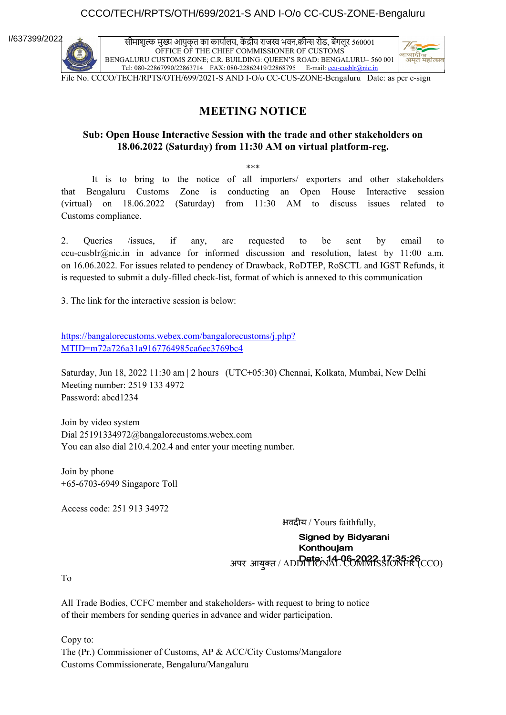### CCCO/TECH/RPTS/OTH/699/2021-S AND I-O/o CC-CUS-ZONE-Bengaluru

I/637399/2022

सीमाशुल्क मुख्य आयुक्त का कार्यालय, कें द्रीय राजस्व भवन,क्वीन्स रोड, बेंगलूर 560001 OFFICE OF THE CHIEF COMMISSIONER OF CUSTOMS BENGALURU CUSTOMS ZONE; C.R. BUILDING: QUEEN'S ROAD: BENGALURU– 560 001 Tel: 080-22867990/22863714 FAX: 080-22862419/22868795 E-mail: [ccu-cusblr@nic.in](mailto:ccu-cusblr@nic.in)



File No. CCCO/TECH/RPTS/OTH/699/2021-S AND I-O/o CC-CUS-ZONE-Bengaluru Date: as per e-sign

### **MEETING NOTICE**

### **Sub: Open House Interactive Session with the trade and other stakeholders on 18.06.2022 (Saturday) from 11:30 AM on virtual platform-reg.**

\*\*\*

It is to bring to the notice of all importers/ exporters and other stakeholders that Bengaluru Customs Zone is conducting an Open House Interactive session (virtual) on 18.06.2022 (Saturday) from 11:30 AM to discuss issues related to Customs compliance.

2. Queries /issues, if any, are requested to be sent by email to ccu-cusblr@nic.in in advance for informed discussion and resolution, latest by 11:00 a.m. on 16.06.2022. For issues related to pendency of Drawback, RoDTEP, RoSCTL and IGST Refunds, it is requested to submit a duly-filled check-list, format of which is annexed to this communication

3. The link for the interactive session is below:

[https://bangalorecustoms.webex.com/bangalorecustoms/j.php?](https://bangalorecustoms.webex.com/bangalorecustoms/j.php?MTID=m72a726a31a9167764985ca6ec3769bc4) [MTID=m72a726a31a9167764985ca6ec3769bc4](https://bangalorecustoms.webex.com/bangalorecustoms/j.php?MTID=m72a726a31a9167764985ca6ec3769bc4)

Saturday, Jun 18, 2022 11:30 am | 2 hours | (UTC+05:30) Chennai, Kolkata, Mumbai, New Delhi Meeting number: 2519 133 4972 Password: abcd1234

Join by video system Dial 25191334972@bangalorecustoms.webex.com You can also dial 210.4.202.4 and enter your meeting number.

Join by phone +65-6703-6949 Singapore Toll

Access code: 251 913 34972

 भवदीय / Yours faithfully, **Signed by Bidyarani** Konthoujam अपर आयुक्त / ADDITIONAL COMMISSIONER (CCO)

To

All Trade Bodies, CCFC member and stakeholders- with request to bring to notice of their members for sending queries in advance and wider participation.

Copy to: The (Pr.) Commissioner of Customs, AP & ACC/City Customs/Mangalore Customs Commissionerate, Bengaluru/Mangaluru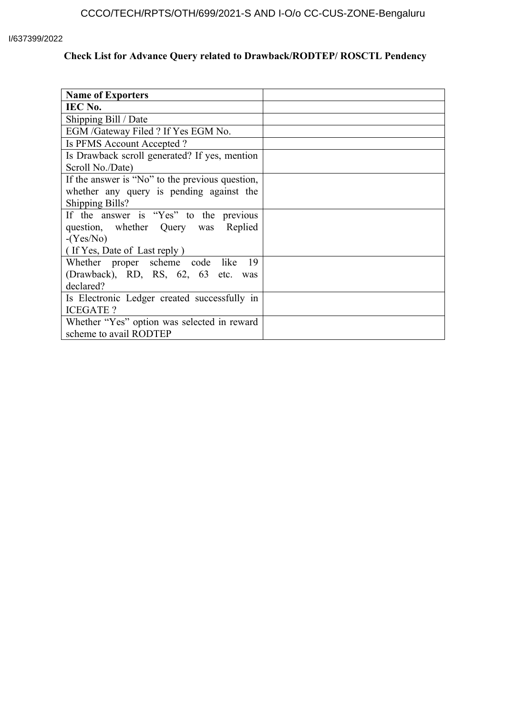### I/637399/2022

# **Check List for Advance Query related to Drawback/RODTEP/ ROSCTL Pendency**

| <b>Name of Exporters</b>                        |  |
|-------------------------------------------------|--|
| IEC No.                                         |  |
| Shipping Bill / Date                            |  |
| EGM /Gateway Filed ? If Yes EGM No.             |  |
| Is PFMS Account Accepted?                       |  |
| Is Drawback scroll generated? If yes, mention   |  |
| Scroll No./Date)                                |  |
| If the answer is "No" to the previous question, |  |
| whether any query is pending against the        |  |
| <b>Shipping Bills?</b>                          |  |
| If the answer is "Yes" to the previous          |  |
| question, whether Query was Replied             |  |
| $-(Yes/No)$                                     |  |
| (If Yes, Date of Last reply)                    |  |
| Whether proper scheme code like<br>- 19         |  |
| (Drawback), RD, RS, 62, 63 etc. was             |  |
| declared?                                       |  |
| Is Electronic Ledger created successfully in    |  |
| <b>ICEGATE?</b>                                 |  |
| Whether "Yes" option was selected in reward     |  |
| scheme to avail RODTEP                          |  |